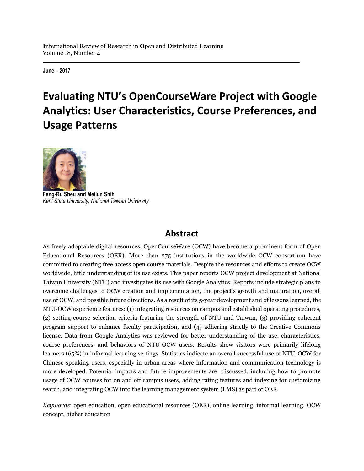**June – 2017**

# **Evaluating NTU's OpenCourseWare Project with Google Analytics: User Characteristics, Course Preferences, and Usage Patterns**



**Feng-Ru Sheu and Meilun Shih** *Kent State University; National Taiwan University*

### **Abstract**

As freely adoptable digital resources, OpenCourseWare (OCW) have become a prominent form of Open Educational Resources (OER). More than 275 institutions in the worldwide OCW consortium have committed to creating free access open course materials. Despite the resources and efforts to create OCW worldwide, little understanding of its use exists. This paper reports OCW project development at National Taiwan University (NTU) and investigates its use with Google Analytics. Reports include strategic plans to overcome challenges to OCW creation and implementation, the project's growth and maturation, overall use of OCW, and possible future directions. As a result of its 5-year development and of lessons learned, the NTU-OCW experience features: (1) integrating resources on campus and established operating procedures, (2) setting course selection criteria featuring the strength of NTU and Taiwan, (3) providing coherent program support to enhance faculty participation, and (4) adhering strictly to the Creative Commons license. Data from Google Analytics was reviewed for better understanding of the use, characteristics, course preferences, and behaviors of NTU-OCW users. Results show visitors were primarily lifelong learners (65%) in informal learning settings. Statistics indicate an overall successful use of NTU-OCW for Chinese speaking users, especially in urban areas where information and communication technology is more developed. Potential impacts and future improvements are discussed, including how to promote usage of OCW courses for on and off campus users, adding rating features and indexing for customizing search, and integrating OCW into the learning management system (LMS) as part of OER.

*Keywords*: open education, open educational resources (OER), online learning, informal learning, OCW concept, higher education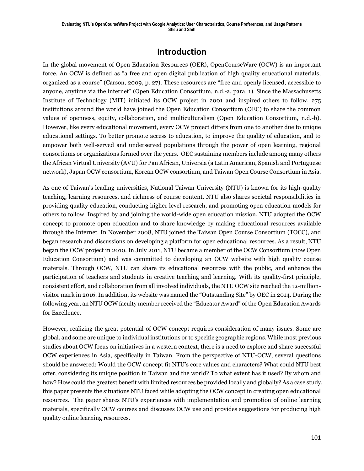### **Introduction**

In the global movement of Open Education Resources (OER), OpenCourseWare (OCW) is an important force. An OCW is defined as "a free and open digital publication of high quality educational materials, organized as a course" (Carson, 2009, p. 27). These resources are "free and openly licensed, accessible to anyone, anytime via the internet" (Open Education Consortium, n.d.-a, para. 1). Since the Massachusetts Institute of Technology (MIT) initiated its OCW project in 2001 and inspired others to follow, 275 institutions around the world have joined the Open Education Consortium (OEC) to share the common values of openness, equity, collaboration, and multiculturalism (Open Education Consortium, n.d.-b). However, like every educational movement, every OCW project differs from one to another due to unique educational settings. To better promote access to education, to improve the quality of education, and to empower both well-served and underserved populations through the power of open learning, regional consortiums or organizations formed over the years. OEC sustaining members include among many others the African Virtual University (AVU) for Pan African, Universia (a Latin American, Spanish and Portuguese network), Japan OCW consortium, Korean OCW consortium, and Taiwan Open Course Consortium in Asia.

As one of Taiwan's leading universities, National Taiwan University (NTU) is known for its high-quality teaching, learning resources, and richness of course content. NTU also shares societal responsibilities in providing quality education, conducting higher level research, and promoting open education models for others to follow. Inspired by and joining the world-wide open education mission, NTU adopted the OCW concept to promote open education and to share knowledge by making educational resources available through the Internet. In November 2008, NTU joined the Taiwan Open Course Consortium (TOCC), and began research and discussions on developing a platform for open educational resources. As a result, NTU began the OCW project in 2010. In July 2011, NTU became a member of the OCW Consortium (now Open Education Consortium) and was committed to developing an OCW website with high quality course materials. Through OCW, NTU can share its educational resources with the public, and enhance the participation of teachers and students in creative teaching and learning. With its quality-first principle, consistent effort, and collaboration from all involved individuals, the NTU OCW site reached the 12-millionvisitor mark in 2016. In addition, its website was named the "Outstanding Site" by OEC in 2014. During the following year, an NTU OCW faculty member received the "Educator Award" of the Open Education Awards for Excellence.

However, realizing the great potential of OCW concept requires consideration of many issues. Some are global, and some are unique to individual institutions or to specific geographic regions. While most previous studies about OCW focus on initiatives in a western context, there is a need to explore and share successful OCW experiences in Asia, specifically in Taiwan. From the perspective of NTU-OCW, several questions should be answered: Would the OCW concept fit NTU's core values and characters? What could NTU best offer, considering its unique position in Taiwan and the world? To what extent has it used? By whom and how? How could the greatest benefit with limited resources be provided locally and globally? As a case study, this paper presents the situations NTU faced while adopting the OCW concept in creating open educational resources. The paper shares NTU's experiences with implementation and promotion of online learning materials, specifically OCW courses and discusses OCW use and provides suggestions for producing high quality online learning resources.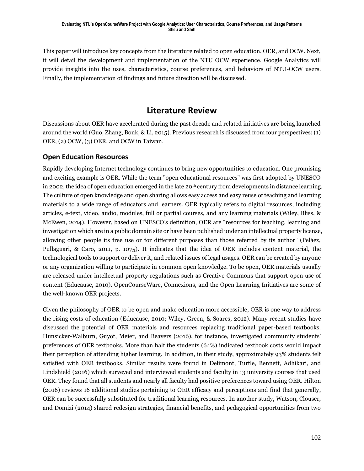This paper will introduce key concepts from the literature related to open education, OER, and OCW. Next, it will detail the development and implementation of the NTU OCW experience. Google Analytics will provide insights into the uses, characteristics, course preferences, and behaviors of NTU-OCW users. Finally, the implementation of findings and future direction will be discussed.

### **Literature Review**

Discussions about OER have accelerated during the past decade and related initiatives are being launched around the world (Guo, Zhang, Bonk, & Li, 2015). Previous research is discussed from four perspectives: (1) OER, (2) OCW, (3) OER, and OCW in Taiwan.

#### **Open Education Resources**

Rapidly developing Internet technology continues to bring new opportunities to education. One promising and exciting example is OER. While the term "open educational resources" was first adopted by UNESCO in 2002, the idea of open education emerged in the late  $20<sup>th</sup>$  century from developments in distance learning. The culture of open knowledge and open sharing allows easy access and easy reuse of teaching and learning materials to a wide range of educators and learners. OER typically refers to digital resources, including articles, e-text, video, audio, modules, full or partial courses, and any learning materials (Wiley, Bliss, & McEwen, 2014). However, based on UNESCO's definition, OER are "resources for teaching, learning and investigation which are in a public domain site or have been published under an intellectual property license, allowing other people its free use or for different purposes than those referred by its author" (Peláez, Pullaguari, & Caro, 2011, p. 1075). It indicates that the idea of OER includes content material, the technological tools to support or deliver it, and related issues of legal usages. OER can be created by anyone or any organization willing to participate in common open knowledge. To be open, OER materials usually are released under intellectual property regulations such as Creative Commons that support open use of content (Educause, 2010). OpenCourseWare, Connexions, and the Open Learning Initiatives are some of the well-known OER projects.

Given the philosophy of OER to be open and make education more accessible, OER is one way to address the rising costs of education (Educause, 2010; Wiley, Green, & Soares, 2012). Many recent studies have discussed the potential of OER materials and resources replacing traditional paper-based textbooks. Hunsicker-Walburn, Guyot, Meier, and Beavers (2016), for instance, investigated community students' preferences of OER textbooks. More than half the students (64%) indicated textbook costs would impact their perception of attending higher learning. In addition, in their study, approximately 93% students felt satisfied with OER textbooks. Similar results were found in Delimont, Turtle, Bennett, Adhikari, and Lindshield (2016) which surveyed and interviewed students and faculty in 13 university courses that used OER. They found that all students and nearly all faculty had positive preferences toward using OER. Hilton (2016) reviews 16 additional studies pertaining to OER efficacy and perceptions and find that generally, OER can be successfully substituted for traditional learning resources. In another study, Watson, Clouser, and Domizi (2014) shared redesign strategies, financial benefits, and pedagogical opportunities from two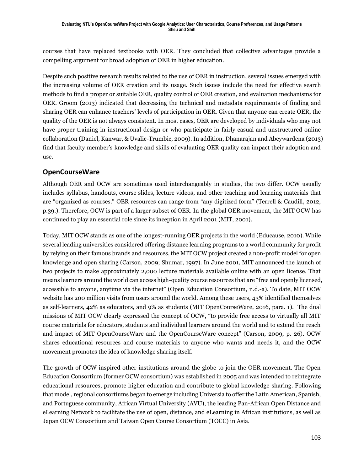courses that have replaced textbooks with OER. They concluded that collective advantages provide a compelling argument for broad adoption of OER in higher education.

Despite such positive research results related to the use of OER in instruction, several issues emerged with the increasing volume of OER creation and its usage. Such issues include the need for effective search methods to find a proper or suitable OER, quality control of OER creation, and evaluation mechanisms for OER. Groom (2013) indicated that decreasing the technical and metadata requirements of finding and sharing OER can enhance teachers' levels of participation in OER. Given that anyone can create OER, the quality of the OER is not always consistent. In most cases, OER are developed by individuals who may not have proper training in instructional design or who participate in fairly casual and unstructured online collaboration (Daniel, Kanwar, & Uvalic-Trumbic, 2009). In addition, Dhanarajan and Abeywardena (2013) find that faculty member's knowledge and skills of evaluating OER quality can impact their adoption and use.

#### **OpenCourseWare**

Although OER and OCW are sometimes used interchangeably in studies, the two differ. OCW usually includes syllabus, handouts, course slides, lecture videos, and other teaching and learning materials that are "organized as courses." OER resources can range from "any digitized form" (Terrell & Caudill, 2012, p.39.). Therefore, OCW is part of a larger subset of OER. In the global OER movement, the MIT OCW has continued to play an essential role since its inception in April 2001 (MIT, 2001).

Today, MIT OCW stands as one of the longest-running OER projects in the world (Educause, 2010). While several leading universities considered offering distance learning programs to a world community for profit by relying on their famous brands and resources, the MIT OCW project created a non-profit model for open knowledge and open sharing (Carson, 2009; Shumar, 1997). In June 2001, MIT announced the launch of two projects to make approximately 2,000 lecture materials available online with an open license. That means learners around the world can access high-quality course resources that are "free and openly licensed, accessible to anyone, anytime via the internet" (Open Education Consortium, n.d.-a). To date, MIT OCW website has 200 million visits from users around the world. Among these users, 43% identified themselves as self-learners, 42% as educators, and 9% as students (MIT OpenCourseWare, 2016, para. 1). The dual missions of MIT OCW clearly expressed the concept of OCW, "to provide free access to virtually all MIT course materials for educators, students and individual learners around the world and to extend the reach and impact of MIT OpenCourseWare and the OpenCourseWare concept" (Carson, 2009, p. 26). OCW shares educational resources and course materials to anyone who wants and needs it, and the OCW movement promotes the idea of knowledge sharing itself.

The growth of OCW inspired other institutions around the globe to join the OER movement. The Open Education Consortium (former OCW consortium) was established in 2005 and was intended to reintegrate educational resources, promote higher education and contribute to global knowledge sharing. Following that model, regional consortiums began to emerge including Universia to offer the Latin American, Spanish, and Portuguese community, African Virtual University (AVU), the leading Pan-African Open Distance and eLearning Network to facilitate the use of open, distance, and eLearning in African institutions, as well as Japan OCW Consortium and Taiwan Open Course Consortium (TOCC) in Asia.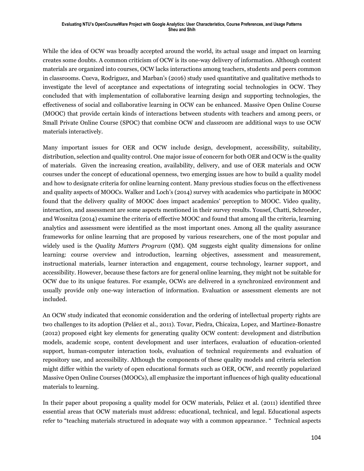While the idea of OCW was broadly accepted around the world, its actual usage and impact on learning creates some doubts. A common criticism of OCW is its one-way delivery of information. Although content materials are organized into courses, OCW lacks interactions among teachers, students and peers common in classrooms. Cueva, Rodriguez, and Marban's (2016) study used quantitative and qualitative methods to investigate the level of acceptance and expectations of integrating social technologies in OCW. They concluded that with implementation of collaborative learning design and supporting technologies, the effectiveness of social and collaborative learning in OCW can be enhanced. Massive Open Online Course (MOOC) that provide certain kinds of interactions between students with teachers and among peers, or Small Private Online Course (SPOC) that combine OCW and classroom are additional ways to use OCW materials interactively.

Many important issues for OER and OCW include design, development, accessibility, suitability, distribution, selection and quality control. One major issue of concern for both OER and OCW is the quality of materials. Given the increasing creation, availability, delivery, and use of OER materials and OCW courses under the concept of educational openness, two emerging issues are how to build a quality model and how to designate criteria for online learning content. Many previous studies focus on the effectiveness and quality aspects of MOOCs. Walker and Loch's (2014) survey with academics who participate in MOOC found that the delivery quality of MOOC does impact academics' perception to MOOC. Video quality, interaction, and assessment are some aspects mentioned in their survey results. Yousef, Chatti, Schroeder, and Wosnitza (2014) examine the criteria of effective MOOC and found that among all the criteria, learning analytics and assessment were identified as the most important ones. Among all the quality assurance frameworks for online learning that are proposed by various researchers, one of the most popular and widely used is the *Quality Matters Program* (QM). QM suggests eight quality dimensions for online learning: course overview and introduction, learning objectives, assessment and measurement, instructional materials, learner interaction and engagement, course technology, learner support, and accessibility. However, because these factors are for general online learning, they might not be suitable for OCW due to its unique features. For example, OCWs are delivered in a synchronized environment and usually provide only one-way interaction of information. Evaluation or assessment elements are not included.

An OCW study indicated that economic consideration and the ordering of intellectual property rights are two challenges to its adoption (Peláez et al., 2011). Tovar, Piedra, Chicaiza, Lopez, and Martinez-Bonastre (2012) proposed eight key elements for generating quality OCW content: development and distribution models, academic scope, content development and user interfaces, evaluation of education-oriented support, human-computer interaction tools, evaluation of technical requirements and evaluation of repository use, and accessibility. Although the components of these quality models and criteria selection might differ within the variety of open educational formats such as OER, OCW, and recently popularized Massive Open Online Courses (MOOCs), all emphasize the important influences of high quality educational materials to learning.

In their paper about proposing a quality model for OCW materials, Peláez et al. (2011) identified three essential areas that OCW materials must address: educational, technical, and legal. Educational aspects refer to "teaching materials structured in adequate way with a common appearance. " Technical aspects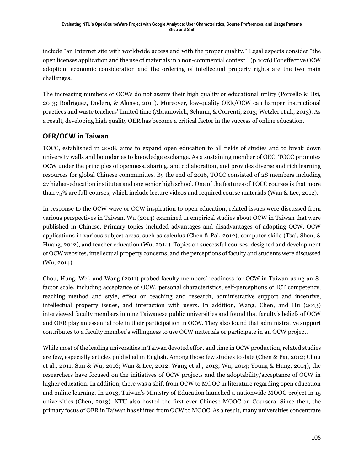include "an Internet site with worldwide access and with the proper quality." Legal aspects consider "the open licenses application and the use of materials in a non-commercial context." (p.1076) For effective OCW adoption, economic consideration and the ordering of intellectual property rights are the two main challenges.

The increasing numbers of OCWs do not assure their high quality or educational utility (Porcello & Hsi, 2013; Rodríguez, Dodero, & Alonso, 2011). Moreover, low-quality OER/OCW can hamper instructional practices and waste teachers' limited time (Abramovich, Schunn, & Correnti, 2013; Wetzler et al., 2013). As a result, developing high quality OER has become a critical factor in the success of online education.

#### **OER/OCW in Taiwan**

TOCC, established in 2008, aims to expand open education to all fields of studies and to break down university walls and boundaries to knowledge exchange. As a sustaining member of OEC, TOCC promotes OCW under the principles of openness, sharing, and collaboration, and provides diverse and rich learning resources for global Chinese communities. By the end of 2016, TOCC consisted of 28 members including 27 higher-education institutes and one senior high school. One of the features of TOCC courses is that more than 75% are full-courses, which include lecture videos and required course materials (Wan & Lee, 2012).

In response to the OCW wave or OCW inspiration to open education, related issues were discussed from various perspectives in Taiwan. Wu (2014) examined 11 empirical studies about OCW in Taiwan that were published in Chinese. Primary topics included advantages and disadvantages of adopting OCW, OCW applications in various subject areas, such as calculus (Chen & Pai, 2012), computer skills (Tsai, Shen, & Huang, 2012), and teacher education (Wu, 2014). Topics on successful courses, designed and development of OCW websites, intellectual property concerns, and the perceptions of faculty and students were discussed (Wu, 2014).

Chou, Hung, Wei, and Wang (2011) probed faculty members' readiness for OCW in Taiwan using an 8 factor scale, including acceptance of OCW, personal characteristics, self-perceptions of ICT competency, teaching method and style, effect on teaching and research, administrative support and incentive, intellectual property issues, and interaction with users. In addition, Wang, Chen, and Hu (2013) interviewed faculty members in nine Taiwanese public universities and found that faculty's beliefs of OCW and OER play an essential role in their participation in OCW. They also found that administrative support contributes to a faculty member's willingness to use OCW materials or participate in an OCW project.

While most of the leading universities in Taiwan devoted effort and time in OCW production, related studies are few, especially articles published in English. Among those few studies to date (Chen & Pai, 2012; Chou et al., 2011; Sun & Wu, 2016; Wan & Lee, 2012; Wang et al., 2013; Wu, 2014; Young & Hung, 2014), the researchers have focused on the initiatives of OCW projects and the adoptability/acceptance of OCW in higher education. In addition, there was a shift from OCW to MOOC in literature regarding open education and online learning. In 2013, Taiwan's Ministry of Education launched a nationwide MOOC project in 15 universities (Chen, 2013). NTU also hosted the first-ever Chinese MOOC on Coursera. Since then, the primary focus of OER in Taiwan has shifted from OCW to MOOC. As a result, many universities concentrate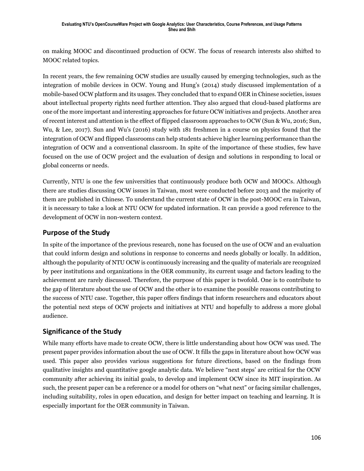on making MOOC and discontinued production of OCW. The focus of research interests also shifted to MOOC related topics.

In recent years, the few remaining OCW studies are usually caused by emerging technologies, such as the integration of mobile devices in OCW. Young and Hung's (2014) study discussed implementation of a mobile-based OCW platform and its usages. They concluded that to expand OER in Chinese societies, issues about intellectual property rights need further attention. They also argued that cloud-based platforms are one of the more important and interesting approaches for future OCW initiatives and projects. Another area of recent interest and attention is the effect of flipped classroom approaches to OCW (Sun & Wu, 2016; Sun, Wu, & Lee, 2017). Sun and Wu's (2016) study with 181 freshmen in a course on physics found that the integration of OCW and flipped classrooms can help students achieve higher learning performance than the integration of OCW and a conventional classroom. In spite of the importance of these studies, few have focused on the use of OCW project and the evaluation of design and solutions in responding to local or global concerns or needs.

Currently, NTU is one the few universities that continuously produce both OCW and MOOCs. Although there are studies discussing OCW issues in Taiwan, most were conducted before 2013 and the majority of them are published in Chinese. To understand the current state of OCW in the post-MOOC era in Taiwan, it is necessary to take a look at NTU OCW for updated information. It can provide a good reference to the development of OCW in non-western context.

#### **Purpose of the Study**

In spite of the importance of the previous research, none has focused on the use of OCW and an evaluation that could inform design and solutions in response to concerns and needs globally or locally. In addition, although the popularity of NTU OCW is continuously increasing and the quality of materials are recognized by peer institutions and organizations in the OER community, its current usage and factors leading to the achievement are rarely discussed. Therefore, the purpose of this paper is twofold. One is to contribute to the gap of literature about the use of OCW and the other is to examine the possible reasons contributing to the success of NTU case. Together, this paper offers findings that inform researchers and educators about the potential next steps of OCW projects and initiatives at NTU and hopefully to address a more global audience.

#### **Significance of the Study**

While many efforts have made to create OCW, there is little understanding about how OCW was used. The present paper provides information about the use of OCW. It fills the gaps in literature about how OCW was used. This paper also provides various suggestions for future directions, based on the findings from qualitative insights and quantitative google analytic data. We believe "next steps' are critical for the OCW community after achieving its initial goals, to develop and implement OCW since its MIT inspiration. As such, the present paper can be a reference or a model for others on "what next" or facing similar challenges, including suitability, roles in open education, and design for better impact on teaching and learning. It is especially important for the OER community in Taiwan.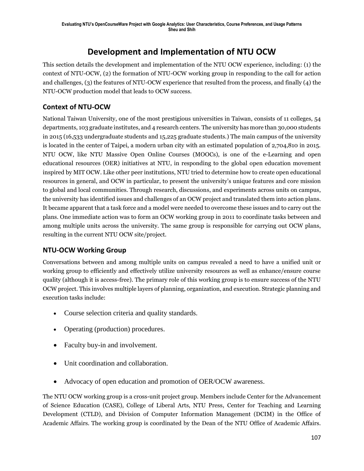## **Development and Implementation of NTU OCW**

This section details the development and implementation of the NTU OCW experience, including: (1) the context of NTU-OCW, (2) the formation of NTU-OCW working group in responding to the call for action and challenges, (3) the features of NTU-OCW experience that resulted from the process, and finally (4) the NTU-OCW production model that leads to OCW success.

### **Context of NTU-OCW**

National Taiwan University, one of the most prestigious universities in Taiwan, consists of 11 colleges, 54 departments, 103 graduate institutes, and 4 research centers. The university has more than 30,000 students in 2015 (16,533 undergraduate students and 15,225 graduate students.) The main campus of the university is located in the center of Taipei, a modern urban city with an estimated population of 2,704,810 in 2015. NTU OCW, like NTU Massive Open Online Courses (MOOCs), is one of the e-Learning and open educational resources (OER) initiatives at NTU, in responding to the global open education movement inspired by MIT OCW. Like other peer institutions, NTU tried to determine how to create open educational resources in general, and OCW in particular, to present the university's unique features and core mission to global and local communities. Through research, discussions, and experiments across units on campus, the university has identified issues and challenges of an OCW project and translated them into action plans. It became apparent that a task force and a model were needed to overcome these issues and to carry out the plans. One immediate action was to form an OCW working group in 2011 to coordinate tasks between and among multiple units across the university. The same group is responsible for carrying out OCW plans, resulting in the current NTU OCW site/project.

#### **NTU-OCW Working Group**

Conversations between and among multiple units on campus revealed a need to have a unified unit or working group to efficiently and effectively utilize university resources as well as enhance/ensure course quality (although it is access-free). The primary role of this working group is to ensure success of the NTU OCW project. This involves multiple layers of planning, organization, and execution. Strategic planning and execution tasks include:

- Course selection criteria and quality standards.
- Operating (production) procedures.
- Faculty buy-in and involvement.
- Unit coordination and collaboration.
- Advocacy of open education and promotion of OER/OCW awareness.

The NTU OCW working group is a cross-unit project group. Members include Center for the Advancement of Science Education (CASE), College of Liberal Arts, NTU Press, Center for Teaching and Learning Development (CTLD), and Division of Computer Information Management (DCIM) in the Office of Academic Affairs. The working group is coordinated by the Dean of the NTU Office of Academic Affairs.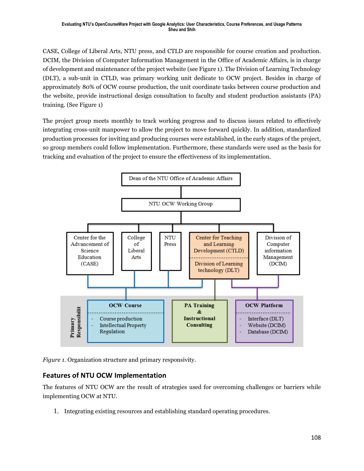CASE, College of Liberal Arts, NTU press, and CTLD are responsible for course creation and production. DCIM, the Division of Computer Information Management in the Office of Academic Affairs, is in charge of development and maintenance of the project website (see Figure 1). The Division of Learning Technology (DLT), a sub-unit in CTLD, was primary working unit dedicate to OCW project. Besides in charge of approximately 80% of OCW course production, the unit coordinate tasks between course production and the website, provide instructional design consultation to faculty and student production assistants (PA) training. (See Figure 1)

The project group meets monthly to track working progress and to discuss issues related to effectively integrating cross-unit manpower to allow the project to move forward quickly. In addition, standardized production processes for inviting and producing courses were established, in the early stages of the project, so group members could follow implementation. Furthermore, these standards were used as the basis for tracking and evaluation of the project to ensure the effectiveness of its implementation.



*Figure 1.* Organization structure and primary responsivity.

#### **Features of NTU OCW Implementation**

The features of NTU OCW are the result of strategies used for overcoming challenges or barriers while implementing OCW at NTU.

1. Integrating existing resources and establishing standard operating procedures.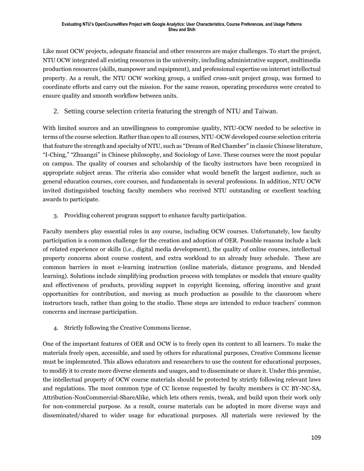Like most OCW projects, adequate financial and other resources are major challenges. To start the project, NTU OCW integrated all existing resources in the university, including administrative support, multimedia production resources (skills, manpower and equipment), and professional expertise on internet intellectual property. As a result, the NTU OCW working group, a unified cross-unit project group, was formed to coordinate efforts and carry out the mission. For the same reason, operating procedures were created to ensure quality and smooth workflow between units.

2. Setting course selection criteria featuring the strength of NTU and Taiwan.

With limited sources and an unwillingness to compromise quality, NTU-OCW needed to be selective in terms of the course selection. Rather than open to all courses, NTU-OCW developed course selection criteria that feature the strength and specialty of NTU, such as "Dream of Red Chamber" in classic Chinese literature, "I-Ching," "Zhuangzi" in Chinese philosophy, and Sociology of Love. These courses were the most popular on campus. The quality of courses and scholarship of the faculty instructors have been recognized in appropriate subject areas. The criteria also consider what would benefit the largest audience, such as general education courses, core courses, and fundamentals in several professions. In addition, NTU OCW invited distinguished teaching faculty members who received NTU outstanding or excellent teaching awards to participate.

3. Providing coherent program support to enhance faculty participation.

Faculty members play essential roles in any course, including OCW courses. Unfortunately, low faculty participation is a common challenge for the creation and adoption of OER. Possible reasons include a lack of related experience or skills (i.e., digital media development), the quality of online courses, intellectual property concerns about course content, and extra workload to an already busy schedule. These are common barriers in most e-learning instruction (online materials, distance programs, and blended learning). Solutions include simplifying production process with templates or models that ensure quality and effectiveness of products, providing support in copyright licensing, offering incentive and grant opportunities for contribution, and moving as much production as possible to the classroom where instructors teach, rather than going to the studio. These steps are intended to reduce teachers' common concerns and increase participation.

4. Strictly following the Creative Commons license.

One of the important features of OER and OCW is to freely open its content to all learners. To make the materials freely open, accessible, and used by others for educational purposes, Creative Commons license must be implemented. This allows educators and researchers to use the content for educational purposes, to modify it to create more diverse elements and usages, and to disseminate or share it. Under this premise, the intellectual property of OCW course materials should be protected by strictly following relevant laws and regulations. The most common type of CC license requested by faculty members is CC BY-NC-SA, Attribution-NonCommercial-ShareAlike, which lets others remix, tweak, and build upon their work only for non-commercial purpose. As a result, course materials can be adopted in more diverse ways and disseminated/shared to wider usage for educational purposes. All materials were reviewed by the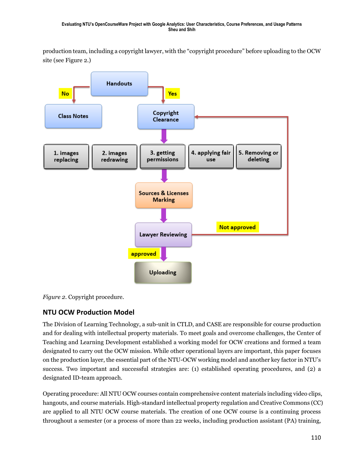production team, including a copyright lawyer, with the "copyright procedure" before uploading to the OCW site (see Figure 2.)



*Figure 2*. Copyright procedure.

#### **NTU OCW Production Model**

The Division of Learning Technology, a sub-unit in CTLD, and CASE are responsible for course production and for dealing with intellectual property materials. To meet goals and overcome challenges, the Center of Teaching and Learning Development established a working model for OCW creations and formed a team designated to carry out the OCW mission. While other operational layers are important, this paper focuses on the production layer, the essential part of the NTU-OCW working model and another key factor in NTU's success. Two important and successful strategies are: (1) established operating procedures, and (2) a designated ID-team approach.

Operating procedure: All NTU OCW courses contain comprehensive content materials including video clips, hangouts, and course materials. High-standard intellectual property regulation and Creative Commons (CC) are applied to all NTU OCW course materials. The creation of one OCW course is a continuing process throughout a semester (or a process of more than 22 weeks, including production assistant (PA) training,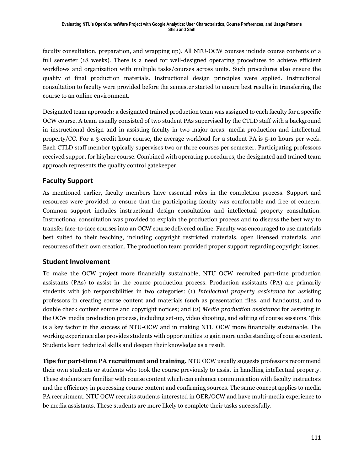faculty consultation, preparation, and wrapping up). All NTU-OCW courses include course contents of a full semester (18 weeks). There is a need for well-designed operating procedures to achieve efficient workflows and organization with multiple tasks/courses across units. Such procedures also ensure the quality of final production materials. Instructional design principles were applied. Instructional consultation to faculty were provided before the semester started to ensure best results in transferring the course to an online environment.

Designated team approach: a designated trained production team was assigned to each faculty for a specific OCW course. A team usually consisted of two student PAs supervised by the CTLD staff with a background in instructional design and in assisting faculty in two major areas: media production and intellectual property/CC. For a 3-credit hour course, the average workload for a student PA is 5-10 hours per week. Each CTLD staff member typically supervises two or three courses per semester. Participating professors received support for his/her course. Combined with operating procedures, the designated and trained team approach represents the quality control gatekeeper.

#### **Faculty Support**

As mentioned earlier, faculty members have essential roles in the completion process. Support and resources were provided to ensure that the participating faculty was comfortable and free of concern. Common support includes instructional design consultation and intellectual property consultation. Instructional consultation was provided to explain the production process and to discuss the best way to transfer face-to-face courses into an OCW course delivered online. Faculty was encouraged to use materials best suited to their teaching, including copyright restricted materials, open licensed materials, and resources of their own creation. The production team provided proper support regarding copyright issues.

#### **Student Involvement**

To make the OCW project more financially sustainable, NTU OCW recruited part-time production assistants (PAs) to assist in the course production process. Production assistants (PA) are primarily students with job responsibilities in two categories: (1) *Intellectual property assistance* for assisting professors in creating course content and materials (such as presentation files, and handouts), and to double check content source and copyright notices; and (2) *Media production assistance* for assisting in the OCW media production process, including set-up, video shooting, and editing of course sessions. This is a key factor in the success of NTU-OCW and in making NTU OCW more financially sustainable. The working experience also provides students with opportunities to gain more understanding of course content. Students learn technical skills and deepen their knowledge as a result.

**Tips for part-time PA recruitment and training.** NTU OCW usually suggests professors recommend their own students or students who took the course previously to assist in handling intellectual property. These students are familiar with course content which can enhance communication with faculty instructors and the efficiency in processing course content and confirming sources. The same concept applies to media PA recruitment. NTU OCW recruits students interested in OER/OCW and have multi-media experience to be media assistants. These students are more likely to complete their tasks successfully.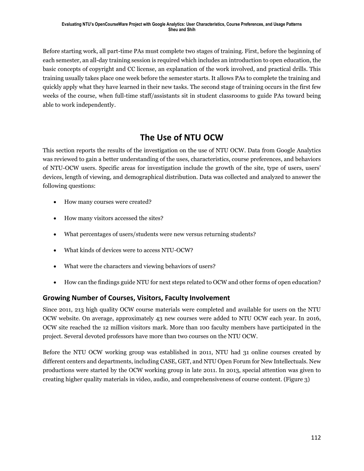Before starting work, all part-time PAs must complete two stages of training. First, before the beginning of each semester, an all-day training session is required which includes an introduction to open education, the basic concepts of copyright and CC license, an explanation of the work involved, and practical drills. This training usually takes place one week before the semester starts. It allows PAs to complete the training and quickly apply what they have learned in their new tasks. The second stage of training occurs in the first few weeks of the course, when full-time staff/assistants sit in student classrooms to guide PAs toward being able to work independently.

## **The Use of NTU OCW**

This section reports the results of the investigation on the use of NTU OCW. Data from Google Analytics was reviewed to gain a better understanding of the uses, characteristics, course preferences, and behaviors of NTU-OCW users. Specific areas for investigation include the growth of the site, type of users, users' devices, length of viewing, and demographical distribution. Data was collected and analyzed to answer the following questions:

- How many courses were created?
- How many visitors accessed the sites?
- What percentages of users/students were new versus returning students?
- What kinds of devices were to access NTU-OCW?
- What were the characters and viewing behaviors of users?
- How can the findings guide NTU for next steps related to OCW and other forms of open education?

#### **Growing Number of Courses, Visitors, Faculty Involvement**

Since 2011, 213 high quality OCW course materials were completed and available for users on the NTU OCW website. On average, approximately 43 new courses were added to NTU OCW each year. In 2016, OCW site reached the 12 million visitors mark. More than 100 faculty members have participated in the project. Several devoted professors have more than two courses on the NTU OCW.

Before the NTU OCW working group was established in 2011, NTU had 31 online courses created by different centers and departments, including CASE, GET, and NTU Open Forum for New Intellectuals. New productions were started by the OCW working group in late 2011. In 2013, special attention was given to creating higher quality materials in video, audio, and comprehensiveness of course content. (Figure 3)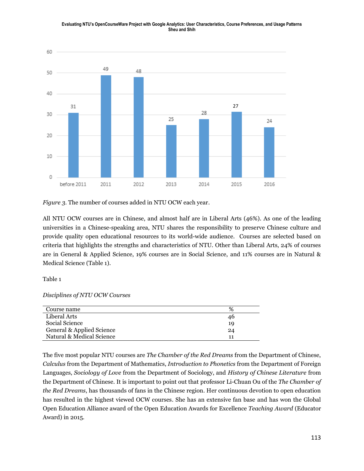#### **Evaluating NTU's OpenCourseWare Project with Google Analytics: User Characteristics, Course Preferences, and Usage Patterns Sheu and Shih**



*Figure 3.* The number of courses added in NTU OCW each year.

All NTU OCW courses are in Chinese, and almost half are in Liberal Arts (46%). As one of the leading universities in a Chinese-speaking area, NTU shares the responsibility to preserve Chinese culture and provide quality open educational resources to its world-wide audience. Courses are selected based on criteria that highlights the strengths and characteristics of NTU. Other than Liberal Arts, 24% of courses are in General & Applied Science, 19% courses are in Social Science, and 11% courses are in Natural & Medical Science (Table 1).

Table 1

*Disciplines of NTU OCW Courses*

| Course name               | %  |
|---------------------------|----|
| Liberal Arts              | 46 |
| Social Science            | 19 |
| General & Applied Science | 24 |
| Natural & Medical Science |    |

The five most popular NTU courses are *The Chamber of the Red Dreams* from the Department of Chinese, *Calculus* from the Department of Mathematics, *Introduction to Phonetics* from the Department of Foreign Languages, *Sociology of Love* from the Department of Sociology, and *History of Chinese Literature* from the Department of Chinese. It is important to point out that professor Li-Chuan Ou of the *The Chamber of the Red Dreams*, has thousands of fans in the Chinese region. Her continuous devotion to open education has resulted in the highest viewed OCW courses. She has an extensive fan base and has won the Global Open Education Alliance award of the Open Education Awards for Excellence *Teaching Award* (Educator Award) in 2015.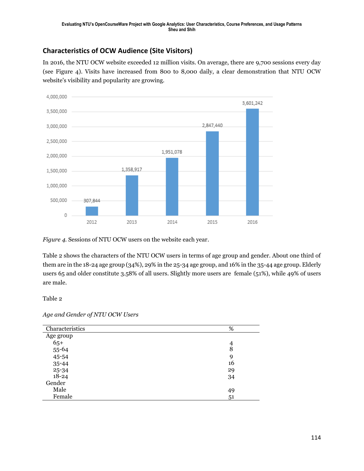### **Characteristics of OCW Audience (Site Visitors)**

In 2016, the NTU OCW website exceeded 12 million visits. On average, there are 9,700 sessions every day (see Figure 4). Visits have increased from 800 to 8,000 daily, a clear demonstration that NTU OCW website's visibility and popularity are growing.



*Figure 4.* Sessions of NTU OCW users on the website each year.

Table 2 shows the characters of the NTU OCW users in terms of age group and gender. About one third of them are in the 18-24 age group (34%), 29% in the 25-34 age group, and 16% in the 35-44 age group. Elderly users 65 and older constitute 3.58% of all users. Slightly more users are female (51%), while 49% of users are male.

Table 2

*Age and Gender of NTU OCW Users*

| Characteristics | %  |
|-----------------|----|
| Age group       |    |
|                 | 4  |
| $65+$<br>55-64  | 8  |
| 45-54           | 9  |
| 35-44           | 16 |
| $25 - 34$       | 29 |
| $18 - 24$       | 34 |
| Gender          |    |
| Male            | 49 |
| Female          | 51 |
|                 |    |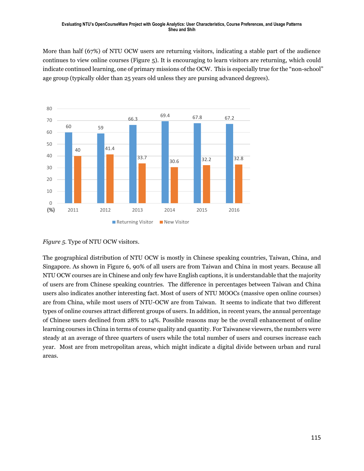More than half (67%) of NTU OCW users are returning visitors, indicating a stable part of the audience continues to view online courses (Figure 5). It is encouraging to learn visitors are returning, which could indicate continued learning, one of primary missions of the OCW. This is especially true for the "non-school" age group (typically older than 25 years old unless they are pursing advanced degrees).



*Figure 5.* Type of NTU OCW visitors.

The geographical distribution of NTU OCW is mostly in Chinese speaking countries, Taiwan, China, and Singapore. As shown in Figure 6, 90% of all users are from Taiwan and China in most years. Because all NTU OCW courses are in Chinese and only few have English captions, it is understandable that the majority of users are from Chinese speaking countries. The difference in percentages between Taiwan and China users also indicates another interesting fact. Most of users of NTU MOOCs (massive open online courses) are from China, while most users of NTU-OCW are from Taiwan. It seems to indicate that two different types of online courses attract different groups of users. In addition, in recent years, the annual percentage of Chinese users declined from 28% to 14%. Possible reasons may be the overall enhancement of online learning courses in China in terms of course quality and quantity. For Taiwanese viewers, the numbers were steady at an average of three quarters of users while the total number of users and courses increase each year. Most are from metropolitan areas, which might indicate a digital divide between urban and rural areas.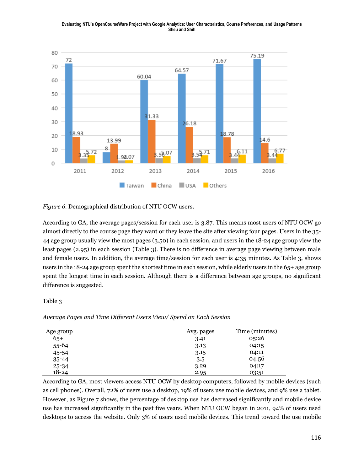#### **Evaluating NTU's OpenCourseWare Project with Google Analytics: User Characteristics, Course Preferences, and Usage Patterns Sheu and Shih**



*Figure 6.* Demographical distribution of NTU OCW users.

According to GA, the average pages/session for each user is 3.87. This means most users of NTU OCW go almost directly to the course page they want or they leave the site after viewing four pages. Users in the 35- 44 age group usually view the most pages (3.50) in each session, and users in the 18-24 age group view the least pages (2.95) in each session (Table 3). There is no difference in average page viewing between male and female users. In addition, the average time/session for each user is 4:35 minutes. As Table 3, shows users in the 18-24 age group spent the shortest time in each session, while elderly users in the 65+ age group spent the longest time in each session. Although there is a difference between age groups, no significant difference is suggested.

Table 3

| Age group | Avg. pages | Time (minutes) |
|-----------|------------|----------------|
| $65+$     | 3.41       | 05:26          |
| $55 - 64$ | 3.13       | 04:15          |
| $45 - 54$ | 3.15       | 04:11          |
| $35 - 44$ | 3.5        | 04:56          |
| $25 - 34$ | 3.29       | 04:17          |
| $18 - 24$ | 2.95       | 03:51          |

*Average Pages and Time Different Users View/ Spend on Each Session*

According to GA, most viewers access NTU OCW by desktop computers, followed by mobile devices (such as cell phones). Overall, 72% of users use a desktop, 19% of users use mobile devices, and 9% use a tablet. However, as Figure 7 shows, the percentage of desktop use has decreased significantly and mobile device use has increased significantly in the past five years. When NTU OCW began in 2011, 94% of users used desktops to access the website. Only 3% of users used mobile devices. This trend toward the use mobile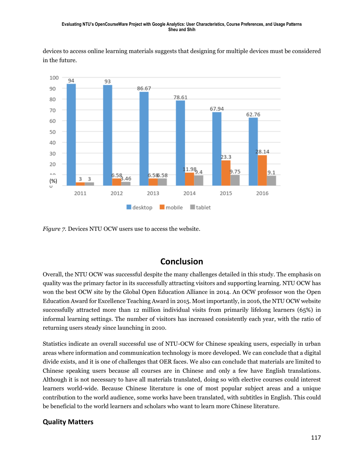devices to access online learning materials suggests that designing for multiple devices must be considered in the future.



*Figure 7.* Devices NTU OCW users use to access the website.

### **Conclusion**

Overall, the NTU OCW was successful despite the many challenges detailed in this study. The emphasis on quality was the primary factor in its successfully attracting visitors and supporting learning. NTU OCW has won the best OCW site by the Global Open Education Alliance in 2014. An OCW professor won the Open Education Award for Excellence Teaching Award in 2015. Most importantly, in 2016, the NTU OCW website successfully attracted more than 12 million individual visits from primarily lifelong learners (65%) in informal learning settings. The number of visitors has increased consistently each year, with the ratio of returning users steady since launching in 2010.

Statistics indicate an overall successful use of NTU-OCW for Chinese speaking users, especially in urban areas where information and communication technology is more developed. We can conclude that a digital divide exists, and it is one of challenges that OER faces. We also can conclude that materials are limited to Chinese speaking users because all courses are in Chinese and only a few have English translations. Although it is not necessary to have all materials translated, doing so with elective courses could interest learners world-wide. Because Chinese literature is one of most popular subject areas and a unique contribution to the world audience, some works have been translated, with subtitles in English. This could be beneficial to the world learners and scholars who want to learn more Chinese literature.

#### **Quality Matters**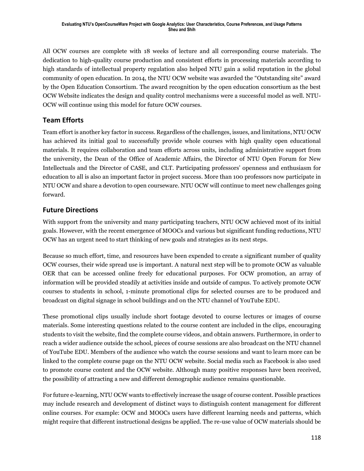All OCW courses are complete with 18 weeks of lecture and all corresponding course materials. The dedication to high-quality course production and consistent efforts in processing materials according to high standards of intellectual property regulation also helped NTU gain a solid reputation in the global community of open education. In 2014, the NTU OCW website was awarded the "Outstanding site" award by the Open Education Consortium. The award recognition by the open education consortium as the best OCW Website indicates the design and quality control mechanisms were a successful model as well. NTU-OCW will continue using this model for future OCW courses.

### **Team Efforts**

Team effort is another key factor in success. Regardless of the challenges, issues, and limitations, NTU OCW has achieved its initial goal to successfully provide whole courses with high quality open educational materials. It requires collaboration and team efforts across units, including administrative support from the university, the Dean of the Office of Academic Affairs, the Director of NTU Open Forum for New Intellectuals and the Director of CASE, and CLT. Participating professors' openness and enthusiasm for education to all is also an important factor in project success. More than 100 professors now participate in NTU OCW and share a devotion to open courseware. NTU OCW will continue to meet new challenges going forward.

#### **Future Directions**

With support from the university and many participating teachers, NTU OCW achieved most of its initial goals. However, with the recent emergence of MOOCs and various but significant funding reductions, NTU OCW has an urgent need to start thinking of new goals and strategies as its next steps.

Because so much effort, time, and resources have been expended to create a significant number of quality OCW courses, their wide spread use is important. A natural next step will be to promote OCW as valuable OER that can be accessed online freely for educational purposes. For OCW promotion, an array of information will be provided steadily at activities inside and outside of campus. To actively promote OCW courses to students in school, 1-minute promotional clips for selected courses are to be produced and broadcast on digital signage in school buildings and on the NTU channel of YouTube EDU.

These promotional clips usually include short footage devoted to course lectures or images of course materials. Some interesting questions related to the course content are included in the clips, encouraging students to visit the website, find the complete course videos, and obtain answers. Furthermore, in order to reach a wider audience outside the school, pieces of course sessions are also broadcast on the NTU channel of YouTube EDU. Members of the audience who watch the course sessions and want to learn more can be linked to the complete course page on the NTU OCW website. Social media such as Facebook is also used to promote course content and the OCW website. Although many positive responses have been received, the possibility of attracting a new and different demographic audience remains questionable.

For future e-learning, NTU OCW wants to effectively increase the usage of course content. Possible practices may include research and development of distinct ways to distinguish content management for different online courses. For example: OCW and MOOCs users have different learning needs and patterns, which might require that different instructional designs be applied. The re-use value of OCW materials should be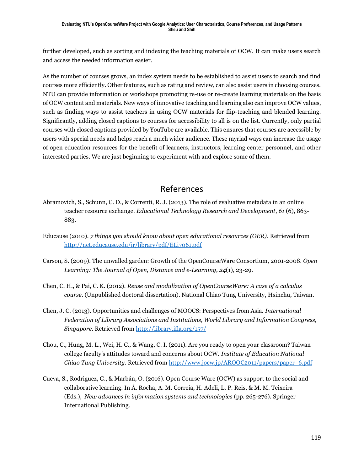further developed, such as sorting and indexing the teaching materials of OCW. It can make users search and access the needed information easier.

As the number of courses grows, an index system needs to be established to assist users to search and find courses more efficiently. Other features, such as rating and review, can also assist users in choosing courses. NTU can provide information or workshops promoting re-use or re-create learning materials on the basis of OCW content and materials. New ways of innovative teaching and learning also can improve OCW values, such as finding ways to assist teachers in using OCW materials for flip-teaching and blended learning. Significantly, adding closed captions to courses for accessibility to all is on the list. Currently, only partial courses with closed captions provided by YouTube are available. This ensures that courses are accessible by users with special needs and helps reach a much wider audience. These myriad ways can increase the usage of open education resources for the benefit of learners, instructors, learning center personnel, and other interested parties. We are just beginning to experiment with and explore some of them.

### References

- Abramovich, S., Schunn, C. D., & Correnti, R. J. (2013). The role of evaluative metadata in an online teacher resource exchange. *Educational Technology Research and Development*, *61* (6), 863- 883.
- Educause (2010). *7 things you should know about open educational resources (OER)*. Retrieved from <http://net.educause.edu/ir/library/pdf/ELi7061.pdf>
- Carson, S. (2009). The unwalled garden: Growth of the OpenCourseWare Consortium, 2001-2008. *Open Learning: The Journal of Open, Distance and e-Learning, 24*(1), 23-29.
- Chen, C. H., & Pai, C. K. (2012). *Reuse and modulization of OpenCourseWare: A case of a calculus course*. (Unpublished doctoral dissertation). National Chiao Tung University, Hsinchu, Taiwan.
- Chen, J. C. (2013). Opportunities and challenges of MOOCS: Perspectives from Asia. *International Federation of Library Associations and Institutions, World Library and Information Congress, Singapore*. Retrieved fro[m http://library.ifla.org/157/](http://library.ifla.org/157/)
- Chou, C., Hung, M. L., Wei, H. C., & Wang, C. I. (2011). Are you ready to open your classroom? Taiwan college faculty's attitudes toward and concerns about OCW. *Institute of Education National Chiao Tung University*. Retrieved from [http://www.jocw.jp/AROOC2011/papers/paper\\_6.pdf](http://www.jocw.jp/AROOC2011/papers/paper_6.pdf)
- Cueva, S., Rodriguez, G., & Marbán, O. (2016). Open Course Ware (OCW) as support to the social and collaborative learning. In Á. Rocha, A. M. Correia, H. Adeli, L. P. Reis, & M. M. Teixeira (Eds.), *New advances in information systems and technologies* (pp. 265-276). Springer International Publishing.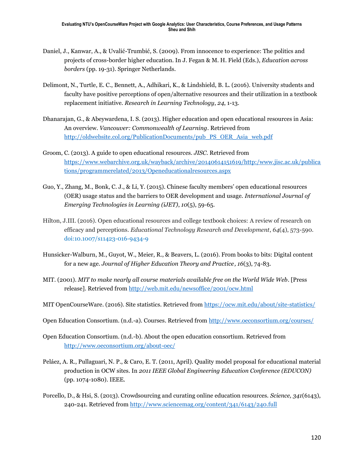- Daniel, J., Kanwar, A., & Uvalić-Trumbić, S. (2009). From innocence to experience: The politics and projects of cross-border higher education. In J. Fegan & M. H. Field (Eds.), *Education across borders* (pp. 19-31). Springer Netherlands.
- Delimont, N., Turtle, E. C., Bennett, A., Adhikari, K., & Lindshield, B. L. (2016). University students and faculty have positive perceptions of open/alternative resources and their utilization in a textbook replacement initiative. *Research in Learning Technology*, *24*, 1-13.
- Dhanarajan, G., & Abeywardena, I. S. (2013). Higher education and open educational resources in Asia: An overview. *Vancouver: Commonwealth of Learning*. Retrieved from [http://oldwebsite.col.org/PublicationDocuments/pub\\_PS\\_OER\\_Asia\\_web.pdf](http://oldwebsite.col.org/PublicationDocuments/pub_PS_OER_Asia_web.pdf)
- Groom, C. (2013). A guide to open educational resources. *JISC*. Retrieved from [https://www.webarchive.org.uk/wayback/archive/20140614151619/http:/www.jisc.ac.uk/publica](https://www.webarchive.org.uk/wayback/archive/20140614151619/http:/www.jisc.ac.uk/publications/programmerelated/2013/Openeducationalresources.aspx) [tions/programmerelated/2013/Openeducationalresources.aspx](https://www.webarchive.org.uk/wayback/archive/20140614151619/http:/www.jisc.ac.uk/publications/programmerelated/2013/Openeducationalresources.aspx)
- Guo, Y., Zhang, M., Bonk, C. J., & Li, Y. (2015). Chinese faculty members' open educational resources (OER) usage status and the barriers to OER development and usage. *International Journal of Emerging Technologies in Learning (iJET)*, *10*(5), 59-65.
- Hilton, J.III. (2016). Open educational resources and college textbook choices: A review of research on efficacy and perceptions. *Educational Technology Research and Development*, *64*(4), 573-590. doi:10.1007/s11423-016-9434-9
- Hunsicker-Walburn, M., Guyot, W., Meier, R., & Beavers, L. (2016). From books to bits: Digital content for a new age. *Journal of Higher Education Theory and Practice, 16*(3), 74-83.
- MIT*.* (2001). *MIT to make nearly all course materials available free on the World Wide Web*. [Press release]. Retrieved fro[m http://web.mit.edu/newsoffice/2001/ocw.html](http://web.mit.edu/newsoffice/2001/ocw.html)
- MIT OpenCourseWare. (2016). Site statistics. Retrieved from<https://ocw.mit.edu/about/site-statistics/>
- Open Education Consortium. (n.d.-a). Courses. Retrieved from<http://www.oeconsortium.org/courses/>
- Open Education Consortium. (n.d.-b). About the open education consortium. Retrieved from <http://www.oeconsortium.org/about-oec/>
- Peláez, A. R., Pullaguari, N. P., & Caro, E. T. (2011, April). Quality model proposal for educational material production in OCW sites. In *2011 IEEE Global Engineering Education Conference (EDUCON)* (pp. 1074-1080). IEEE.
- Porcello, D., & Hsi, S. (2013). Crowdsourcing and curating online education resources. *Science, 341*(6143), 240-241. Retrieved from <http://www.sciencemag.org/content/341/6143/240.full>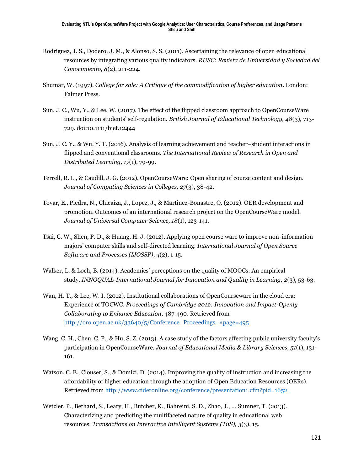- Rodríguez, J. S., Dodero, J. M., & Alonso, S. S. (2011). Ascertaining the relevance of open educational resources by integrating various quality indicators. *RUSC: Revista de Universidad y Sociedad del Conocimiento, 8*(2), 211-224.
- Shumar, W. (1997). *College for sale: A Critique of the commodification of higher education*. London: Falmer Press.
- Sun, J. C., Wu, Y., & Lee, W. (2017). The effect of the flipped classroom approach to OpenCourseWare instruction on students' self‐regulation. *British Journal of Educational Technology, 48*(3), 713- 729. doi:10.1111/bjet.12444
- Sun, J. C. Y., & Wu, Y. T. (2016). Analysis of learning achievement and teacher–student interactions in flipped and conventional classrooms. *The International Review of Research in Open and Distributed Learning, 17*(1), 79-99.
- Terrell, R. L., & Caudill, J. G. (2012). OpenCourseWare: Open sharing of course content and design. *Journal of Computing Sciences in Colleges, 27*(3), 38-42.
- Tovar, E., Piedra, N., Chicaiza, J., Lopez, J., & Martinez-Bonastre, O. (2012). OER development and promotion. Outcomes of an international research project on the OpenCourseWare model. *Journal of Universal Computer Science, 18*(1), 123-141.
- Tsai, C. W., Shen, P. D., & Huang, H. J. (2012). Applying open course ware to improve non-information majors' computer skills and self-directed learning. *International Journal of Open Source Software and Processes (IJOSSP)*, *4*(2), 1-15.
- Walker, L. & Loch, B. (2014). Academics' perceptions on the quality of MOOCs: An empirical study. *INNOQUAL-International Journal for Innovation and Quality in Learning, 2*(3), 53-63.
- Wan, H. T., & Lee, W. I. (2012). Institutional collaborations of OpenCourseware in the cloud era: Experience of TOCWC. *Proceedings of Cambridge 2012: Innovation and Impact-Openly Collaborating to Enhance Education*, 487-490. Retrieved from [http://oro.open.ac.uk/33640/5/Conference\\_Proceedings\\_#page=495](http://oro.open.ac.uk/33640/5/Conference_Proceedings_#page=495)
- Wang, C. H., Chen, C. P., & Hu, S. Z. (2013). A case study of the factors affecting public university faculty's participation in OpenCourseWare. *Journal of Educational Media & Library Sciences, 51*(1), 131- 161.
- Watson, C. E., Clouser, S., & Domizi, D. (2014). Improving the quality of instruction and increasing the affordability of higher education through the adoption of Open Education Resources (OERs). Retrieved from<http://www.cideronline.org/conference/presentation1.cfm?pid=1652>
- Wetzler, P., Bethard, S., Leary, H., Butcher, K., Bahreini, S. D., Zhao, J., ... Sumner, T. (2013). Characterizing and predicting the multifaceted nature of quality in educational web resources. *Transactions on Interactive Intelligent Systems (TiiS), 3*(3), 15.